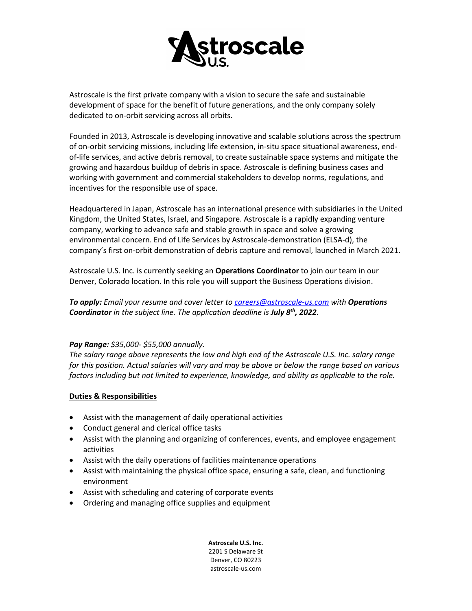

Astroscale is the first private company with a vision to secure the safe and sustainable development of space for the benefit of future generations, and the only company solely dedicated to on-orbit servicing across all orbits.

Founded in 2013, Astroscale is developing innovative and scalable solutions across the spectrum of on-orbit servicing missions, including life extension, in-situ space situational awareness, endof-life services, and active debris removal, to create sustainable space systems and mitigate the growing and hazardous buildup of debris in space. Astroscale is defining business cases and working with government and commercial stakeholders to develop norms, regulations, and incentives for the responsible use of space.

Headquartered in Japan, Astroscale has an international presence with subsidiaries in the United Kingdom, the United States, Israel, and Singapore. Astroscale is a rapidly expanding venture company, working to advance safe and stable growth in space and solve a growing environmental concern. End of Life Services by Astroscale-demonstration (ELSA-d), the company's first on-orbit demonstration of debris capture and removal, launched in March 2021.

Astroscale U.S. Inc. is currently seeking an **Operations Coordinator** to join our team in our Denver, Colorado location. In this role you will support the Business Operations division.

*To apply: Email your resume and cover letter to [careers@astroscale-us.com](mailto:careers@astroscale-us.com) with Operations Coordinator in the subject line. The application deadline is July 8th, 2022*.

## *Pay Range: \$35,000- \$55,000 annually.*

*The salary range above represents the low and high end of the Astroscale U.S. Inc. salary range for this position. Actual salaries will vary and may be above or below the range based on various factors including but not limited to experience, knowledge, and ability as applicable to the role.*

## **Duties & Responsibilities**

- Assist with the management of daily operational activities
- Conduct general and clerical office tasks
- Assist with the planning and organizing of conferences, events, and employee engagement activities
- Assist with the daily operations of facilities maintenance operations
- Assist with maintaining the physical office space, ensuring a safe, clean, and functioning environment
- Assist with scheduling and catering of corporate events
- Ordering and managing office supplies and equipment

**Astroscale U.S. Inc.** 2201 S Delaware St Denver, CO 80223 astroscale-us.com